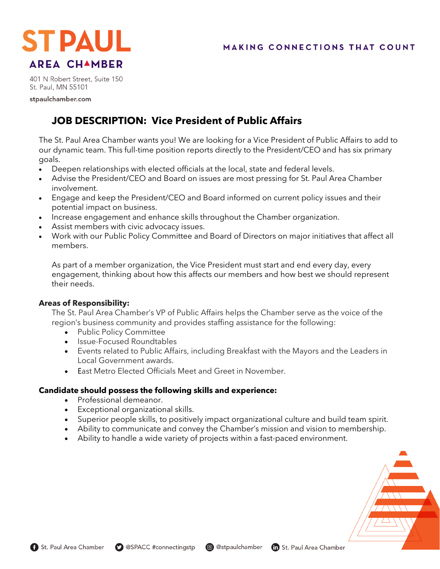

401 N Robert Street, Suite 150 St. Paul, MN 55101

stpaulchamber.com

# **JOB DESCRIPTION: Vice President of Public Affairs**

The St. Paul Area Chamber wants you! We are looking for a Vice President of Public Affairs to add to our dynamic team. This full-time position reports directly to the President/CEO and has six primary goals.

- Deepen relationships with elected officials at the local, state and federal levels.
- Advise the President/CEO and Board on issues are most pressing for St. Paul Area Chamber involvement.
- Engage and keep the President/CEO and Board informed on current policy issues and their potential impact on business.
- Increase engagement and enhance skills throughout the Chamber organization.
- Assist members with civic advocacy issues.
- Work with our Public Policy Committee and Board of Directors on major initiatives that affect all members.

As part of a member organization, the Vice President must start and end every day, every engagement, thinking about how this affects our members and how best we should represent their needs.

# **Areas of Responsibility:**

The St. Paul Area Chamber's VP of Public Affairs helps the Chamber serve as the voice of the region's business community and provides staffing assistance for the following:

- Public Policy Committee
- Issue-Focused Roundtables
- Events related to Public Affairs, including Breakfast with the Mayors and the Leaders in Local Government awards.
- East Metro Elected Officials Meet and Greet in November.

# **Candidate should possess the following skills and experience:**

- Professional demeanor.
- Exceptional organizational skills.
- Superior people skills, to positively impact organizational culture and build team spirit.
- Ability to communicate and convey the Chamber's mission and vision to membership.
- Ability to handle a wide variety of projects within a fast-paced environment.